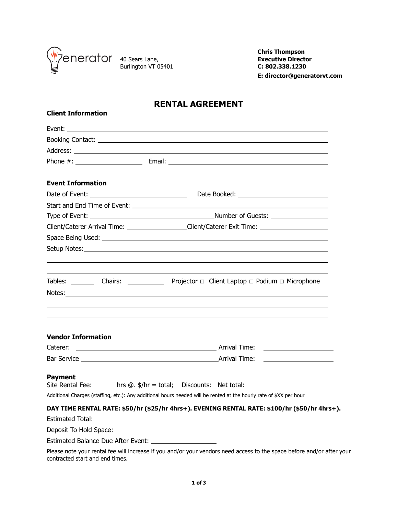

**Client Information**

Burlington VT 05401 **C: 802.338.1230**

**Chris Thompson** Executive Director<br>C: 802.338.1230  **E: director@generatorvt.com** 

## **RENTAL AGREEMENT**

| <b>Event Information</b>        |                                                                                                                        |  |
|---------------------------------|------------------------------------------------------------------------------------------------------------------------|--|
|                                 |                                                                                                                        |  |
|                                 |                                                                                                                        |  |
|                                 |                                                                                                                        |  |
|                                 | Client/Caterer Arrival Time: _________________Client/Caterer Exit Time: ____________________________                   |  |
|                                 |                                                                                                                        |  |
|                                 |                                                                                                                        |  |
|                                 |                                                                                                                        |  |
| <b>Vendor Information</b>       |                                                                                                                        |  |
|                                 |                                                                                                                        |  |
|                                 |                                                                                                                        |  |
| <b>Payment</b>                  | Site Rental Fee: $\_\_\_\_\$ hrs @. \$/hr = total; Discounts: Net total:                                               |  |
|                                 | Additional Charges (staffing, etc.): Any additional hours needed will be rented at the hourly rate of \$XX per hour    |  |
|                                 | DAY TIME RENTAL RATE: \$50/hr (\$25/hr 4hrs+). EVENING RENTAL RATE: \$100/hr (\$50/hr 4hrs+).                          |  |
| <b>Estimated Total:</b>         | <u> 1989 - Johann Barn, mars eta bainar eta idazlea (</u>                                                              |  |
|                                 |                                                                                                                        |  |
|                                 |                                                                                                                        |  |
| contracted start and end times. | Please note your rental fee will increase if you and/or your vendors need access to the space before and/or after your |  |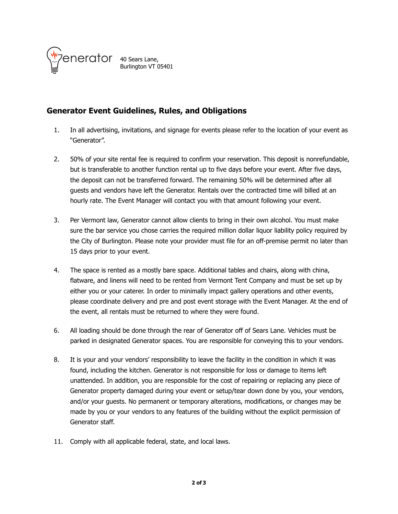

40 Sears Lane, Burlington VT 05401

## **Generator Event Guidelines, Rules, and Obligations**

- 1. In all advertising, invitations, and signage for events please refer to the location of your event as "Generator".
- 2. 50% of your site rental fee is required to confirm your reservation. This deposit is nonrefundable, but is transferable to another function rental up to five days before your event. After five days, the deposit can not be transferred forward. The remaining 50% will be determined after all guests and vendors have left the Generator. Rentals over the contracted time will billed at an hourly rate. The Event Manager will contact you with that amount following your event.
- 3. Per Vermont law, Generator cannot allow clients to bring in their own alcohol. You must make sure the bar service you chose carries the required million dollar liquor liability policy required by the City of Burlington. Please note your provider must file for an off-premise permit no later than 15 days prior to your event.
- 4. The space is rented as a mostly bare space. Additional tables and chairs, along with china, flatware, and linens will need to be rented from Vermont Tent Company and must be set up by either you or your caterer. In order to minimally impact gallery operations and other events, please coordinate delivery and pre and post event storage with the Event Manager. At the end of the event, all rentals must be returned to where they were found.
- 6. All loading should be done through the rear of Generator off of Sears Lane. Vehicles must be parked in designated Generator spaces. You are responsible for conveying this to your vendors.
- 8. It is your and your vendors' responsibility to leave the facility in the condition in which it was found, including the kitchen. Generator is not responsible for loss or damage to items left unattended. In addition, you are responsible for the cost of repairing or replacing any piece of Generator property damaged during your event or setup/tear down done by you, your vendors, and/or your guests. No permanent or temporary alterations, modifications, or changes may be made by you or your vendors to any features of the building without the explicit permission of Generator staff.
- 11. Comply with all applicable federal, state, and local laws.